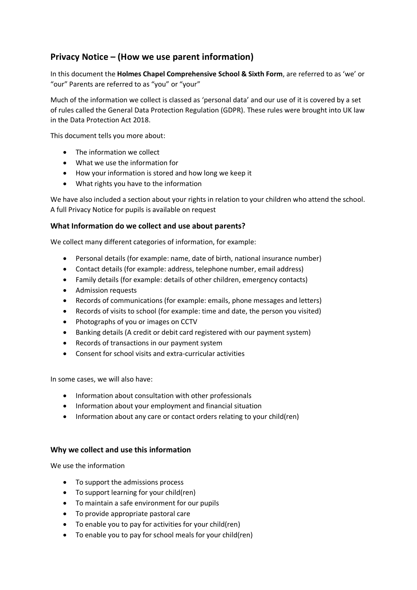# **Privacy Notice – (How we use parent information)**

In this document the **Holmes Chapel Comprehensive School & Sixth Form**, are referred to as 'we' or "our" Parents are referred to as "you" or "your"

Much of the information we collect is classed as 'personal data' and our use of it is covered by a set of rules called the General Data Protection Regulation (GDPR). These rules were brought into UK law in the Data Protection Act 2018.

This document tells you more about:

- The information we collect
- What we use the information for
- How your information is stored and how long we keep it
- What rights you have to the information

We have also included a section about your rights in relation to your children who attend the school. A full Privacy Notice for pupils is available on request

# **What Information do we collect and use about parents?**

We collect many different categories of information, for example:

- Personal details (for example: name, date of birth, national insurance number)
- Contact details (for example: address, telephone number, email address)
- Family details (for example: details of other children, emergency contacts)
- Admission requests
- Records of communications (for example: emails, phone messages and letters)
- Records of visits to school (for example: time and date, the person you visited)
- Photographs of you or images on CCTV
- Banking details (A credit or debit card registered with our payment system)
- Records of transactions in our payment system
- Consent for school visits and extra-curricular activities

In some cases, we will also have:

- Information about consultation with other professionals
- Information about your employment and financial situation
- Information about any care or contact orders relating to your child(ren)

# **Why we collect and use this information**

We use the information

- To support the admissions process
- To support learning for your child(ren)
- To maintain a safe environment for our pupils
- To provide appropriate pastoral care
- To enable you to pay for activities for your child(ren)
- To enable you to pay for school meals for your child(ren)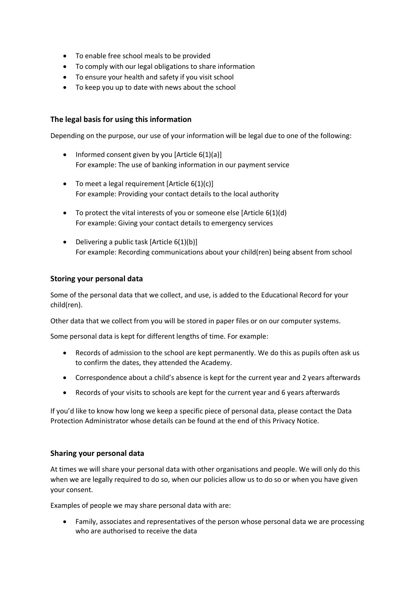- To enable free school meals to be provided
- To comply with our legal obligations to share information
- To ensure your health and safety if you visit school
- To keep you up to date with news about the school

# **The legal basis for using this information**

Depending on the purpose, our use of your information will be legal due to one of the following:

- Informed consent given by you [Article  $6(1)(a)$ ] For example: The use of banking information in our payment service
- To meet a legal requirement  $[Article 6(1)(c)]$ For example: Providing your contact details to the local authority
- To protect the vital interests of you or someone else [Article 6(1)(d) For example: Giving your contact details to emergency services
- Delivering a public task  $[Article 6(1)(b)]$ For example: Recording communications about your child(ren) being absent from school

# **Storing your personal data**

Some of the personal data that we collect, and use, is added to the Educational Record for your child(ren).

Other data that we collect from you will be stored in paper files or on our computer systems.

Some personal data is kept for different lengths of time. For example:

- Records of admission to the school are kept permanently. We do this as pupils often ask us to confirm the dates, they attended the Academy.
- Correspondence about a child's absence is kept for the current year and 2 years afterwards
- Records of your visits to schools are kept for the current year and 6 years afterwards

If you'd like to know how long we keep a specific piece of personal data, please contact the Data Protection Administrator whose details can be found at the end of this Privacy Notice.

## **Sharing your personal data**

At times we will share your personal data with other organisations and people. We will only do this when we are legally required to do so, when our policies allow us to do so or when you have given your consent.

Examples of people we may share personal data with are:

• Family, associates and representatives of the person whose personal data we are processing who are authorised to receive the data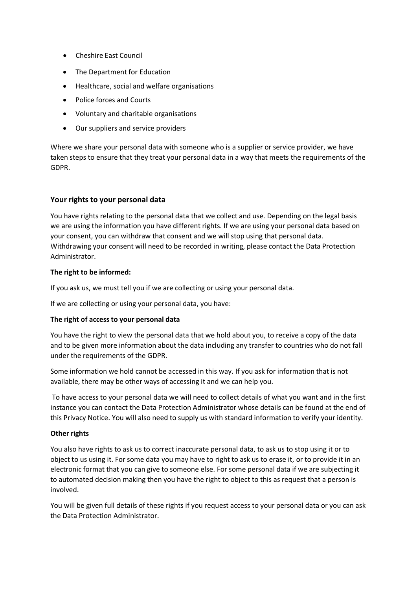- Cheshire East Council
- The Department for Education
- Healthcare, social and welfare organisations
- Police forces and Courts
- Voluntary and charitable organisations
- Our suppliers and service providers

Where we share your personal data with someone who is a supplier or service provider, we have taken steps to ensure that they treat your personal data in a way that meets the requirements of the GDPR.

## **Your rights to your personal data**

You have rights relating to the personal data that we collect and use. Depending on the legal basis we are using the information you have different rights. If we are using your personal data based on your consent, you can withdraw that consent and we will stop using that personal data. Withdrawing your consent will need to be recorded in writing, please contact the Data Protection Administrator.

## **The right to be informed:**

If you ask us, we must tell you if we are collecting or using your personal data.

If we are collecting or using your personal data, you have:

## **The right of access to your personal data**

You have the right to view the personal data that we hold about you, to receive a copy of the data and to be given more information about the data including any transfer to countries who do not fall under the requirements of the GDPR.

Some information we hold cannot be accessed in this way. If you ask for information that is not available, there may be other ways of accessing it and we can help you.

To have access to your personal data we will need to collect details of what you want and in the first instance you can contact the Data Protection Administrator whose details can be found at the end of this Privacy Notice. You will also need to supply us with standard information to verify your identity.

## **Other rights**

You also have rights to ask us to correct inaccurate personal data, to ask us to stop using it or to object to us using it. For some data you may have to right to ask us to erase it, or to provide it in an electronic format that you can give to someone else. For some personal data if we are subjecting it to automated decision making then you have the right to object to this as request that a person is involved.

You will be given full details of these rights if you request access to your personal data or you can ask the Data Protection Administrator.